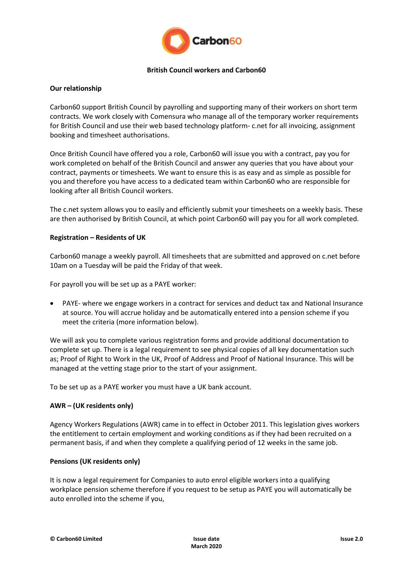

### **British Council workers and Carbon60**

# **Our relationship**

Carbon60 support British Council by payrolling and supporting many of their workers on short term contracts. We work closely with Comensura who manage all of the temporary worker requirements for British Council and use their web based technology platform- c.net for all invoicing, assignment booking and timesheet authorisations.

Once British Council have offered you a role, Carbon60 will issue you with a contract, pay you for work completed on behalf of the British Council and answer any queries that you have about your contract, payments or timesheets. We want to ensure this is as easy and as simple as possible for you and therefore you have access to a dedicated team within Carbon60 who are responsible for looking after all British Council workers.

The c.net system allows you to easily and efficiently submit your timesheets on a weekly basis. These are then authorised by British Council, at which point Carbon60 will pay you for all work completed.

### **Registration – Residents of UK**

Carbon60 manage a weekly payroll. All timesheets that are submitted and approved on c.net before 10am on a Tuesday will be paid the Friday of that week.

For payroll you will be set up as a PAYE worker:

 PAYE- where we engage workers in a contract for services and deduct tax and National Insurance at source. You will accrue holiday and be automatically entered into a pension scheme if you meet the criteria (more information below).

We will ask you to complete various registration forms and provide additional documentation to complete set up. There is a legal requirement to see physical copies of all key documentation such as; Proof of Right to Work in the UK, Proof of Address and Proof of National Insurance. This will be managed at the vetting stage prior to the start of your assignment.

To be set up as a PAYE worker you must have a UK bank account.

# **AWR – (UK residents only)**

Agency Workers Regulations (AWR) came in to effect in October 2011. This legislation gives workers the entitlement to certain employment and working conditions as if they had been recruited on a permanent basis, if and when they complete a qualifying period of 12 weeks in the same job.

#### **Pensions (UK residents only)**

It is now a legal requirement for Companies to auto enrol eligible workers into a qualifying workplace pension scheme therefore if you request to be setup as PAYE you will automatically be auto enrolled into the scheme if you,